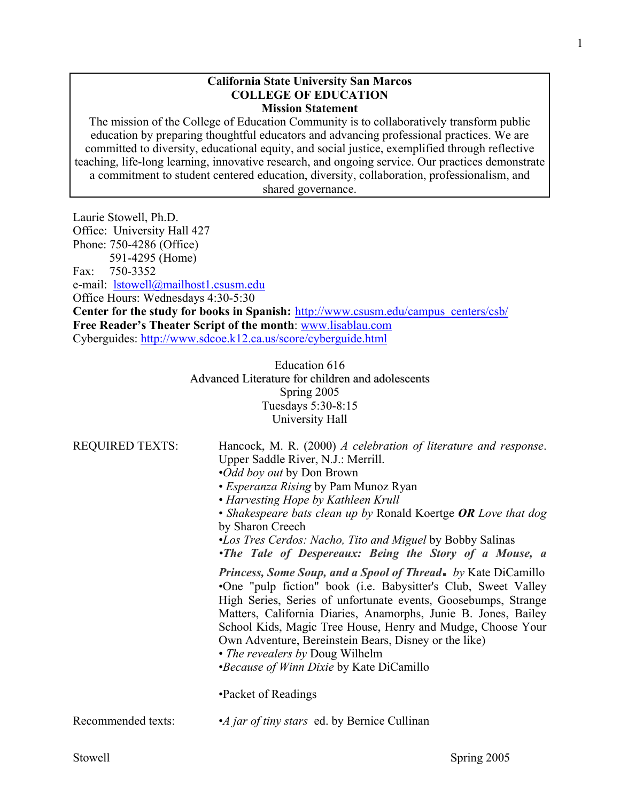#### **California State University San Marcos COLLEGE OF EDUCATION Mission Statement**

The mission of the College of Education Community is to collaboratively transform public education by preparing thoughtful educators and advancing professional practices. We are committed to diversity, educational equity, and social justice, exemplified through reflective teaching, life-long learning, innovative research, and ongoing service. Our practices demonstrate a commitment to student centered education, diversity, collaboration, professionalism, and shared governance.

Laurie Stowell, Ph.D. Office: University Hall 427 Phone: 750-4286 (Office) 591-4295 (Home) Fax: 750-3352 e-mail: lstowell@mailhost1.csusm.edu Office Hours: Wednesdays 4:30-5:30 **Center for the study for books in Spanish:** http://www.csusm.edu/campus\_centers/csb/ **Free Reader's Theater Script of the month**: www.lisablau.com Cyberguides: http://www.sdcoe.k12.ca.us/score/cyberguide.html

> Education 616 Advanced Literature for children and adolescents Spring 2005 Tuesdays 5:30-8:15 University Hall

| <b>REQUIRED TEXTS:</b> | Hancock, M. R. (2000) A celebration of literature and response.<br>Upper Saddle River, N.J.: Merrill.<br><i>•Odd boy out</i> by Don Brown<br>• <i>Esperanza Rising</i> by Pam Munoz Ryan<br>• Harvesting Hope by Kathleen Krull<br>• Shakespeare bats clean up by Ronald Koertge OR Love that dog<br>by Sharon Creech<br><i>•Los Tres Cerdos: Nacho, Tito and Miguel by Bobby Salinas</i><br>•The Tale of Despereaux: Being the Story of a Mouse, a                                             |
|------------------------|-------------------------------------------------------------------------------------------------------------------------------------------------------------------------------------------------------------------------------------------------------------------------------------------------------------------------------------------------------------------------------------------------------------------------------------------------------------------------------------------------|
|                        | <i>Princess, Some Soup, and a Spool of Thread. by Kate DiCamillo</i><br>•One "pulp fiction" book (i.e. Babysitter's Club, Sweet Valley<br>High Series, Series of unfortunate events, Goosebumps, Strange<br>Matters, California Diaries, Anamorphs, Junie B. Jones, Bailey<br>School Kids, Magic Tree House, Henry and Mudge, Choose Your<br>Own Adventure, Bereinstein Bears, Disney or the like)<br>• <i>The revealers by Doug Wilhelm</i><br><i>•Because of Winn Dixie</i> by Kate DiCamillo |
|                        | •Packet of Readings                                                                                                                                                                                                                                                                                                                                                                                                                                                                             |
| Recommended texts:     | •A jar of tiny stars ed. by Bernice Cullinan                                                                                                                                                                                                                                                                                                                                                                                                                                                    |
|                        |                                                                                                                                                                                                                                                                                                                                                                                                                                                                                                 |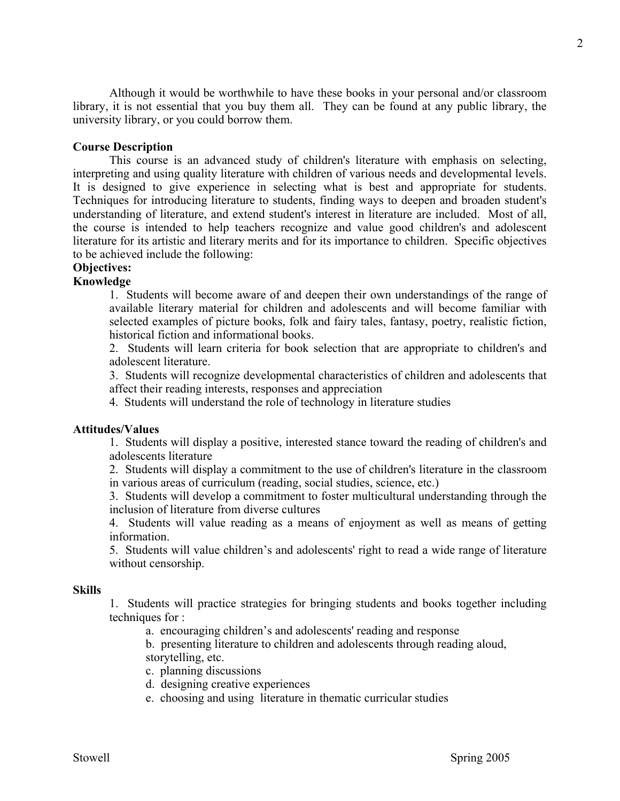Although it would be worthwhile to have these books in your personal and/or classroom library, it is not essential that you buy them all. They can be found at any public library, the university library, or you could borrow them.

### **Course Description**

 This course is an advanced study of children's literature with emphasis on selecting, interpreting and using quality literature with children of various needs and developmental levels. It is designed to give experience in selecting what is best and appropriate for students. Techniques for introducing literature to students, finding ways to deepen and broaden student's understanding of literature, and extend student's interest in literature are included. Most of all, the course is intended to help teachers recognize and value good children's and adolescent literature for its artistic and literary merits and for its importance to children. Specific objectives to be achieved include the following:

# **Objectives:**

#### **Knowledge**

1. Students will become aware of and deepen their own understandings of the range of available literary material for children and adolescents and will become familiar with selected examples of picture books, folk and fairy tales, fantasy, poetry, realistic fiction, historical fiction and informational books.

2. Students will learn criteria for book selection that are appropriate to children's and adolescent literature.

3. Students will recognize developmental characteristics of children and adolescents that affect their reading interests, responses and appreciation

4. Students will understand the role of technology in literature studies

#### **Attitudes/Values**

1. Students will display a positive, interested stance toward the reading of children's and adolescents literature

2. Students will display a commitment to the use of children's literature in the classroom in various areas of curriculum (reading, social studies, science, etc.)

3. Students will develop a commitment to foster multicultural understanding through the inclusion of literature from diverse cultures

4. Students will value reading as a means of enjoyment as well as means of getting information.

5. Students will value children's and adolescents' right to read a wide range of literature without censorship.

#### **Skills**

1. Students will practice strategies for bringing students and books together including techniques for :

a. encouraging children's and adolescents' reading and response

 b. presenting literature to children and adolescents through reading aloud, storytelling, etc.

- c. planning discussions
- d. designing creative experiences
- e. choosing and using literature in thematic curricular studies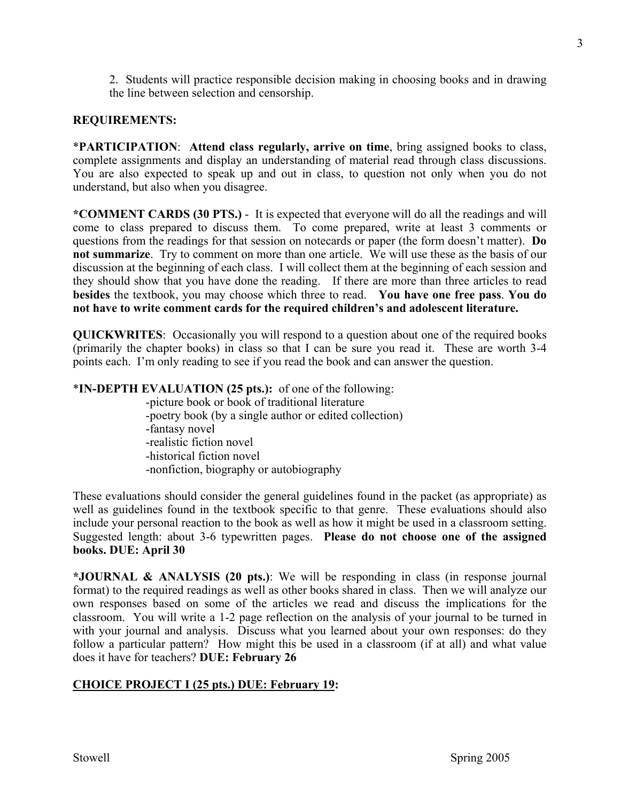2. Students will practice responsible decision making in choosing books and in drawing the line between selection and censorship.

# **REQUIREMENTS:**

\***PARTICIPATION**: **Attend class regularly, arrive on time**, bring assigned books to class, complete assignments and display an understanding of material read through class discussions. You are also expected to speak up and out in class, to question not only when you do not understand, but also when you disagree.

**\*COMMENT CARDS (30 PTS.)** - It is expected that everyone will do all the readings and will come to class prepared to discuss them. To come prepared, write at least 3 comments or questions from the readings for that session on notecards or paper (the form doesn't matter). **Do not summarize**. Try to comment on more than one article. We will use these as the basis of our discussion at the beginning of each class. I will collect them at the beginning of each session and they should show that you have done the reading. If there are more than three articles to read **besides** the textbook, you may choose which three to read. **You have one free pass**. **You do not have to write comment cards for the required children's and adolescent literature.** 

**QUICKWRITES**: Occasionally you will respond to a question about one of the required books (primarily the chapter books) in class so that I can be sure you read it. These are worth 3-4 points each. I'm only reading to see if you read the book and can answer the question.

# \***IN-DEPTH EVALUATION (25 pts.):** of one of the following:

 -picture book or book of traditional literature -poetry book (by a single author or edited collection) -fantasy novel -realistic fiction novel -historical fiction novel -nonfiction, biography or autobiography

These evaluations should consider the general guidelines found in the packet (as appropriate) as well as guidelines found in the textbook specific to that genre. These evaluations should also include your personal reaction to the book as well as how it might be used in a classroom setting. Suggested length: about 3-6 typewritten pages. **Please do not choose one of the assigned books. DUE: April 30** 

**\*JOURNAL & ANALYSIS (20 pts.)**: We will be responding in class (in response journal format) to the required readings as well as other books shared in class. Then we will analyze our own responses based on some of the articles we read and discuss the implications for the classroom. You will write a 1-2 page reflection on the analysis of your journal to be turned in with your journal and analysis. Discuss what you learned about your own responses: do they follow a particular pattern? How might this be used in a classroom (if at all) and what value does it have for teachers? **DUE: February 26** 

# **CHOICE PROJECT I (25 pts.) DUE: February 19:**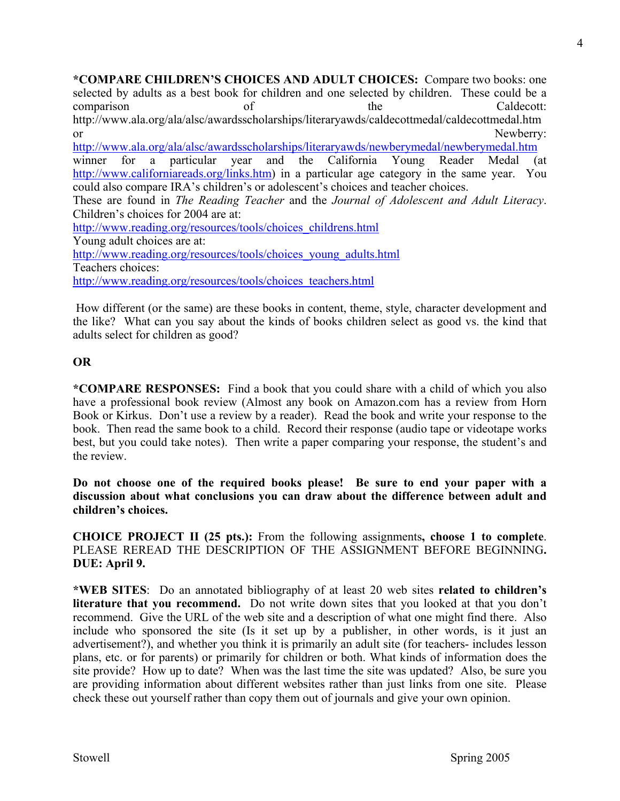**\*COMPARE CHILDREN'S CHOICES AND ADULT CHOICES:** Compare two books: one selected by adults as a best book for children and one selected by children. These could be a comparison of the Caldecott: http://www.ala.org/ala/alsc/awardsscholarships/literaryawds/caldecottmedal/caldecottmedal.htm or Newberry: http://www.ala.org/ala/alsc/awardsscholarships/literaryawds/newberymedal/newberymedal.htm winner for a particular year and the California Young Reader Medal (at http://www.californiareads.org/links.htm) in a particular age category in the same year. You could also compare IRA's children's or adolescent's choices and teacher choices. These are found in *The Reading Teacher* and the *Journal of Adolescent and Adult Literacy*. Children's choices for 2004 are at: http://www.reading.org/resources/tools/choices\_childrens.html Young adult choices are at: http://www.reading.org/resources/tools/choices\_young\_adults.html Teachers choices:

http://www.reading.org/resources/tools/choices\_teachers.html

 How different (or the same) are these books in content, theme, style, character development and the like? What can you say about the kinds of books children select as good vs. the kind that adults select for children as good?

# **OR**

**\*COMPARE RESPONSES:** Find a book that you could share with a child of which you also have a professional book review (Almost any book on Amazon.com has a review from Horn Book or Kirkus. Don't use a review by a reader).Read the book and write your response to the book. Then read the same book to a child. Record their response (audio tape or videotape works best, but you could take notes). Then write a paper comparing your response, the student's and the review.

**Do not choose one of the required books please! Be sure to end your paper with a discussion about what conclusions you can draw about the difference between adult and children's choices.** 

**CHOICE PROJECT II (25 pts.):** From the following assignments**, choose 1 to complete**. PLEASE REREAD THE DESCRIPTION OF THE ASSIGNMENT BEFORE BEGINNING**. DUE: April 9.** 

**\*WEB SITES**: Do an annotated bibliography of at least 20 web sites **related to children's literature that you recommend.** Do not write down sites that you looked at that you don't recommend. Give the URL of the web site and a description of what one might find there. Also include who sponsored the site (Is it set up by a publisher, in other words, is it just an advertisement?), and whether you think it is primarily an adult site (for teachers- includes lesson plans, etc. or for parents) or primarily for children or both. What kinds of information does the site provide? How up to date? When was the last time the site was updated? Also, be sure you are providing information about different websites rather than just links from one site. Please check these out yourself rather than copy them out of journals and give your own opinion.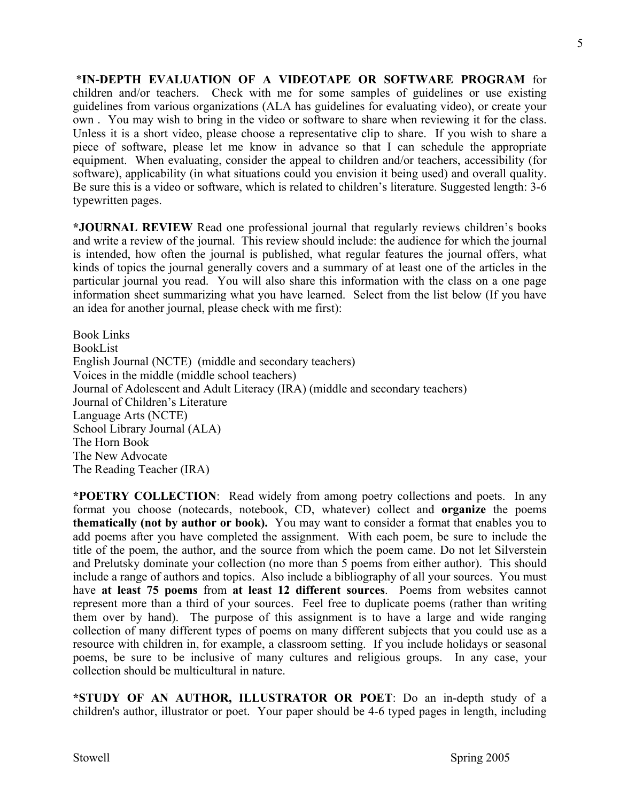\***IN-DEPTH EVALUATION OF A VIDEOTAPE OR SOFTWARE PROGRAM** for children and/or teachers. Check with me for some samples of guidelines or use existing guidelines from various organizations (ALA has guidelines for evaluating video), or create your own . You may wish to bring in the video or software to share when reviewing it for the class. Unless it is a short video, please choose a representative clip to share. If you wish to share a piece of software, please let me know in advance so that I can schedule the appropriate equipment. When evaluating, consider the appeal to children and/or teachers, accessibility (for software), applicability (in what situations could you envision it being used) and overall quality. Be sure this is a video or software, which is related to children's literature. Suggested length: 3-6 typewritten pages.

**\*JOURNAL REVIEW** Read one professional journal that regularly reviews children's books and write a review of the journal. This review should include: the audience for which the journal is intended, how often the journal is published, what regular features the journal offers, what kinds of topics the journal generally covers and a summary of at least one of the articles in the particular journal you read. You will also share this information with the class on a one page information sheet summarizing what you have learned. Select from the list below (If you have an idea for another journal, please check with me first):

Book Links BookList English Journal (NCTE) (middle and secondary teachers) Voices in the middle (middle school teachers) Journal of Adolescent and Adult Literacy (IRA) (middle and secondary teachers) Journal of Children's Literature Language Arts (NCTE) School Library Journal (ALA) The Horn Book The New Advocate The Reading Teacher (IRA)

**\*POETRY COLLECTION**: Read widely from among poetry collections and poets. In any format you choose (notecards, notebook, CD, whatever) collect and **organize** the poems **thematically (not by author or book).** You may want to consider a format that enables you to add poems after you have completed the assignment. With each poem, be sure to include the title of the poem, the author, and the source from which the poem came. Do not let Silverstein and Prelutsky dominate your collection (no more than 5 poems from either author). This should include a range of authors and topics. Also include a bibliography of all your sources. You must have **at least 75 poems** from **at least 12 different sources**. Poems from websites cannot represent more than a third of your sources. Feel free to duplicate poems (rather than writing them over by hand). The purpose of this assignment is to have a large and wide ranging collection of many different types of poems on many different subjects that you could use as a resource with children in, for example, a classroom setting. If you include holidays or seasonal poems, be sure to be inclusive of many cultures and religious groups. In any case, your collection should be multicultural in nature.

**\*STUDY OF AN AUTHOR, ILLUSTRATOR OR POET**: Do an in-depth study of a children's author, illustrator or poet. Your paper should be 4-6 typed pages in length, including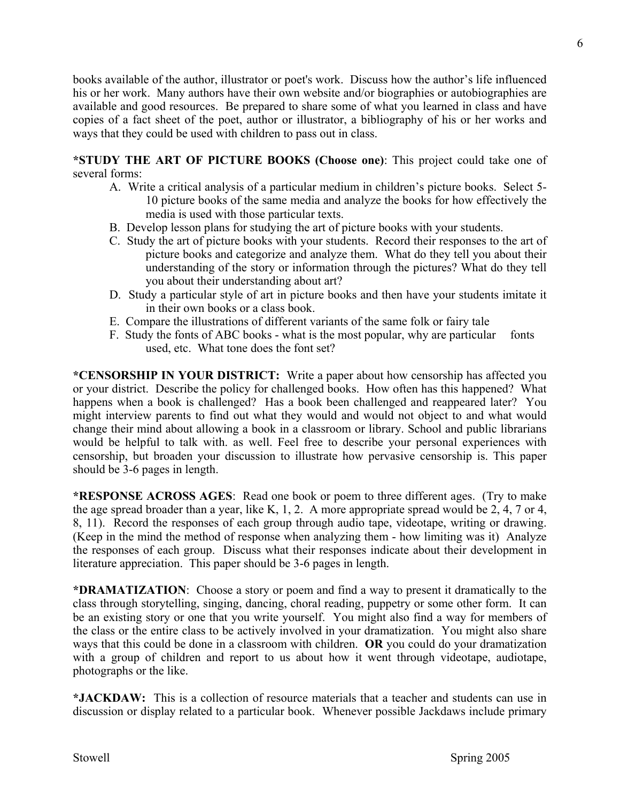books available of the author, illustrator or poet's work. Discuss how the author's life influenced his or her work. Many authors have their own website and/or biographies or autobiographies are available and good resources. Be prepared to share some of what you learned in class and have copies of a fact sheet of the poet, author or illustrator, a bibliography of his or her works and ways that they could be used with children to pass out in class.

**\*STUDY THE ART OF PICTURE BOOKS (Choose one)**: This project could take one of several forms:

- A. Write a critical analysis of a particular medium in children's picture books. Select 5- 10 picture books of the same media and analyze the books for how effectively the media is used with those particular texts.
- B. Develop lesson plans for studying the art of picture books with your students.
- C. Study the art of picture books with your students. Record their responses to the art of picture books and categorize and analyze them. What do they tell you about their understanding of the story or information through the pictures? What do they tell you about their understanding about art?
- D. Study a particular style of art in picture books and then have your students imitate it in their own books or a class book.
- E. Compare the illustrations of different variants of the same folk or fairy tale
- F. Study the fonts of ABC books what is the most popular, why are particular fonts used, etc. What tone does the font set?

**\*CENSORSHIP IN YOUR DISTRICT:** Write a paper about how censorship has affected you or your district. Describe the policy for challenged books. How often has this happened? What happens when a book is challenged? Has a book been challenged and reappeared later? You might interview parents to find out what they would and would not object to and what would change their mind about allowing a book in a classroom or library. School and public librarians would be helpful to talk with. as well. Feel free to describe your personal experiences with censorship, but broaden your discussion to illustrate how pervasive censorship is. This paper should be 3-6 pages in length.

**\*RESPONSE ACROSS AGES**: Read one book or poem to three different ages. (Try to make the age spread broader than a year, like K, 1, 2. A more appropriate spread would be 2, 4, 7 or 4, 8, 11). Record the responses of each group through audio tape, videotape, writing or drawing. (Keep in the mind the method of response when analyzing them - how limiting was it) Analyze the responses of each group. Discuss what their responses indicate about their development in literature appreciation. This paper should be 3-6 pages in length.

**\*DRAMATIZATION**: Choose a story or poem and find a way to present it dramatically to the class through storytelling, singing, dancing, choral reading, puppetry or some other form. It can be an existing story or one that you write yourself. You might also find a way for members of the class or the entire class to be actively involved in your dramatization. You might also share ways that this could be done in a classroom with children. **OR** you could do your dramatization with a group of children and report to us about how it went through videotape, audiotape, photographs or the like.

**\*JACKDAW:** This is a collection of resource materials that a teacher and students can use in discussion or display related to a particular book. Whenever possible Jackdaws include primary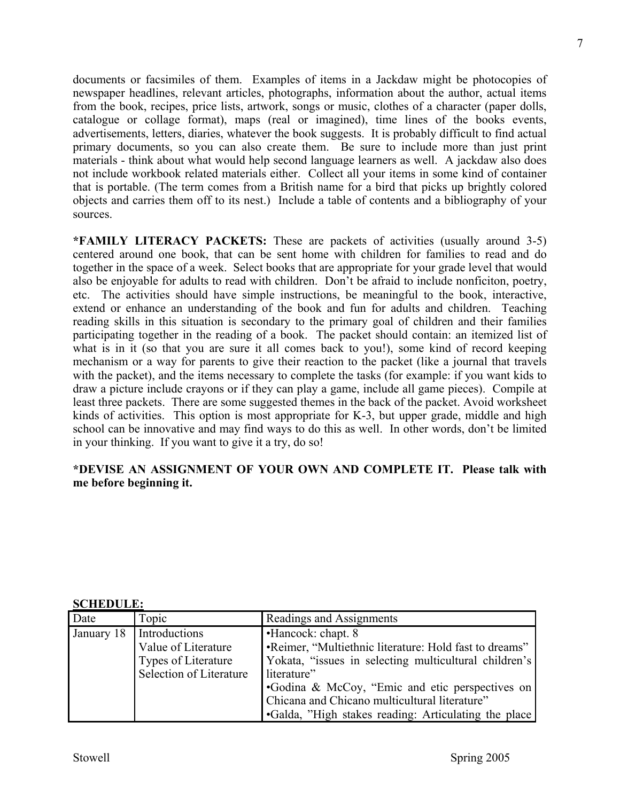documents or facsimiles of them. Examples of items in a Jackdaw might be photocopies of newspaper headlines, relevant articles, photographs, information about the author, actual items from the book, recipes, price lists, artwork, songs or music, clothes of a character (paper dolls, catalogue or collage format), maps (real or imagined), time lines of the books events, advertisements, letters, diaries, whatever the book suggests. It is probably difficult to find actual primary documents, so you can also create them. Be sure to include more than just print materials - think about what would help second language learners as well. A jackdaw also does not include workbook related materials either. Collect all your items in some kind of container that is portable. (The term comes from a British name for a bird that picks up brightly colored objects and carries them off to its nest.) Include a table of contents and a bibliography of your sources.

**\*FAMILY LITERACY PACKETS:** These are packets of activities (usually around 3-5) centered around one book, that can be sent home with children for families to read and do together in the space of a week. Select books that are appropriate for your grade level that would also be enjoyable for adults to read with children. Don't be afraid to include nonficiton, poetry, etc. The activities should have simple instructions, be meaningful to the book, interactive, extend or enhance an understanding of the book and fun for adults and children. Teaching reading skills in this situation is secondary to the primary goal of children and their families participating together in the reading of a book. The packet should contain: an itemized list of what is in it (so that you are sure it all comes back to you!), some kind of record keeping mechanism or a way for parents to give their reaction to the packet (like a journal that travels with the packet), and the items necessary to complete the tasks (for example: if you want kids to draw a picture include crayons or if they can play a game, include all game pieces). Compile at least three packets. There are some suggested themes in the back of the packet. Avoid worksheet kinds of activities. This option is most appropriate for K-3, but upper grade, middle and high school can be innovative and may find ways to do this as well. In other words, don't be limited in your thinking. If you want to give it a try, do so!

# **\*DEVISE AN ASSIGNMENT OF YOUR OWN AND COMPLETE IT. Please talk with me before beginning it.**

| Date       | Topic                                                                                         | Readings and Assignments                                                                                                                                                                                                                                                                                         |  |  |
|------------|-----------------------------------------------------------------------------------------------|------------------------------------------------------------------------------------------------------------------------------------------------------------------------------------------------------------------------------------------------------------------------------------------------------------------|--|--|
| January 18 | Introductions<br>Value of Literature<br><b>Types of Literature</b><br>Selection of Literature | •Hancock: chapt. 8<br>•Reimer, "Multiethnic literature: Hold fast to dreams"<br>Yokata, "issues in selecting multicultural children's<br>literature"<br>•Godina & McCoy, "Emic and etic perspectives on<br>Chicana and Chicano multicultural literature"<br>•Galda, "High stakes reading: Articulating the place |  |  |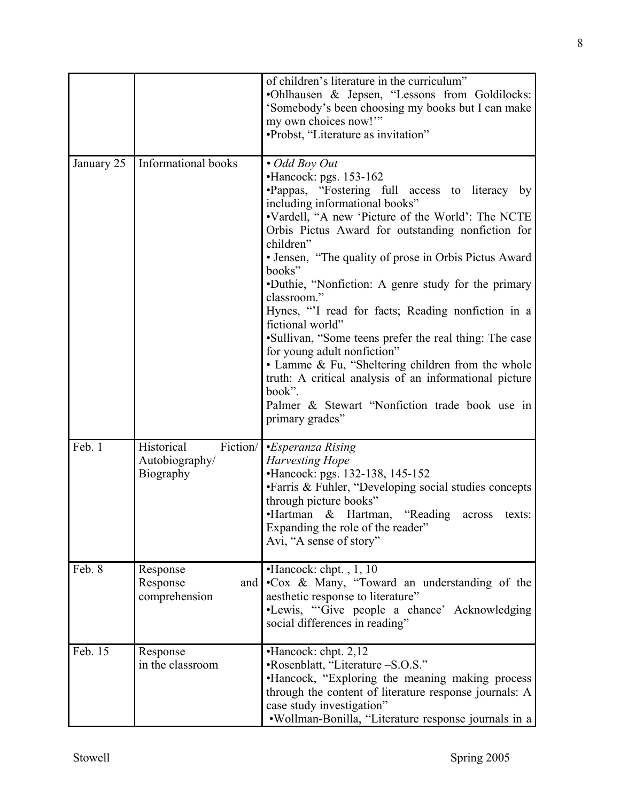|            |                                                       | of children's literature in the curriculum"<br>.Ohlhausen & Jepsen, "Lessons from Goldilocks:<br>'Somebody's been choosing my books but I can make<br>my own choices now!"<br>•Probst, "Literature as invitation"                                                                                                                                                                                                                                                                                                                                                                                                                                                                                                                                                  |  |
|------------|-------------------------------------------------------|--------------------------------------------------------------------------------------------------------------------------------------------------------------------------------------------------------------------------------------------------------------------------------------------------------------------------------------------------------------------------------------------------------------------------------------------------------------------------------------------------------------------------------------------------------------------------------------------------------------------------------------------------------------------------------------------------------------------------------------------------------------------|--|
| January 25 | Informational books                                   | • Odd Boy Out<br>$\cdot$ Hancock: pgs. 153-162<br>·Pappas, "Fostering full access to literacy by<br>including informational books"<br>.Vardell, "A new 'Picture of the World': The NCTE<br>Orbis Pictus Award for outstanding nonfiction for<br>children"<br>• Jensen, "The quality of prose in Orbis Pictus Award<br>books"<br>•Duthie, "Nonfiction: A genre study for the primary<br>classroom."<br>Hynes, "I read for facts; Reading nonfiction in a<br>fictional world"<br>•Sullivan, "Some teens prefer the real thing: The case<br>for young adult nonfiction"<br>• Lamme & Fu, "Sheltering children from the whole<br>truth: A critical analysis of an informational picture<br>book".<br>Palmer & Stewart "Nonfiction trade book use in<br>primary grades" |  |
| Feb. 1     | Fiction/<br>Historical<br>Autobiography/<br>Biography | •Esperanza Rising<br><b>Harvesting Hope</b><br>•Hancock: pgs. 132-138, 145-152<br>•Farris & Fuhler, "Developing social studies concepts<br>through picture books"<br>•Hartman & Hartman, "Reading across<br>texts:<br>Expanding the role of the reader"<br>Avi, "A sense of story"                                                                                                                                                                                                                                                                                                                                                                                                                                                                                 |  |
| Feb. 8     | Response<br>Response<br>and  <br>comprehension        | $\bullet$ Hancock: chpt., 1, 10<br>•Cox & Many, "Toward an understanding of the<br>aesthetic response to literature"<br>•Lewis, "Give people a chance' Acknowledging<br>social differences in reading"                                                                                                                                                                                                                                                                                                                                                                                                                                                                                                                                                             |  |
| Feb. 15    | Response<br>in the classroom                          | $\cdot$ Hancock: chpt. 2,12<br>•Rosenblatt, "Literature -S.O.S."<br>•Hancock, "Exploring the meaning making process<br>through the content of literature response journals: A<br>case study investigation"<br>•Wollman-Bonilla, "Literature response journals in a                                                                                                                                                                                                                                                                                                                                                                                                                                                                                                 |  |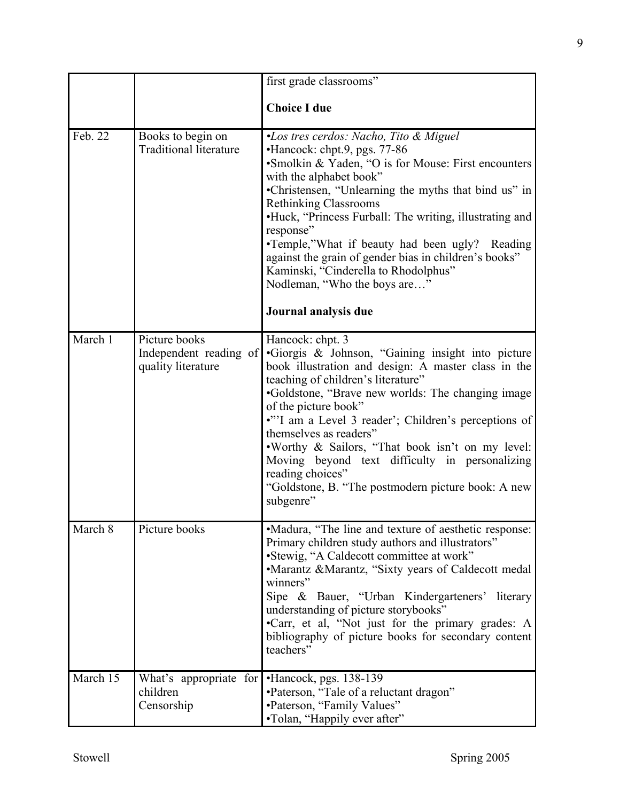|          |                                                               | first grade classrooms"                                                                                                                                                                                                                                                                                                                                                                                                                                                                                                             |
|----------|---------------------------------------------------------------|-------------------------------------------------------------------------------------------------------------------------------------------------------------------------------------------------------------------------------------------------------------------------------------------------------------------------------------------------------------------------------------------------------------------------------------------------------------------------------------------------------------------------------------|
|          |                                                               |                                                                                                                                                                                                                                                                                                                                                                                                                                                                                                                                     |
|          |                                                               | <b>Choice I due</b>                                                                                                                                                                                                                                                                                                                                                                                                                                                                                                                 |
| Feb. 22  | Books to begin on<br><b>Traditional literature</b>            | •Los tres cerdos: Nacho, Tito & Miguel<br>•Hancock: chpt.9, pgs. 77-86<br>•Smolkin & Yaden, "O is for Mouse: First encounters<br>with the alphabet book"<br>•Christensen, "Unlearning the myths that bind us" in<br><b>Rethinking Classrooms</b><br>•Huck, "Princess Furball: The writing, illustrating and<br>response"<br>•Temple,"What if beauty had been ugly? Reading<br>against the grain of gender bias in children's books"<br>Kaminski, "Cinderella to Rhodolphus"<br>Nodleman, "Who the boys are"<br>Journal analysis due |
| March 1  | Picture books<br>Independent reading of<br>quality literature | Hancock: chpt. 3<br>•Giorgis & Johnson, "Gaining insight into picture<br>book illustration and design: A master class in the<br>teaching of children's literature"<br>•Goldstone, "Brave new worlds: The changing image<br>of the picture book"<br>""I am a Level 3 reader'; Children's perceptions of<br>themselves as readers"<br>. Worthy & Sailors, "That book isn't on my level:<br>Moving beyond text difficulty in personalizing<br>reading choices"<br>"Goldstone, B. "The postmodern picture book: A new<br>subgenre"      |
| March 8  | Picture books                                                 | •Madura, "The line and texture of aesthetic response:<br>Primary children study authors and illustrators"<br>•Stewig, "A Caldecott committee at work"<br>•Marantz &Marantz, "Sixty years of Caldecott medal<br>winners"<br>Sipe & Bauer, "Urban Kindergarteners' literary<br>understanding of picture storybooks"<br>•Carr, et al, "Not just for the primary grades: A<br>bibliography of picture books for secondary content<br>teachers"                                                                                          |
| March 15 | What's appropriate for<br>children<br>Censorship              | $\cdot$ Hancock, pgs. 138-139<br>•Paterson, "Tale of a reluctant dragon"<br>•Paterson, "Family Values"<br>•Tolan, "Happily ever after"                                                                                                                                                                                                                                                                                                                                                                                              |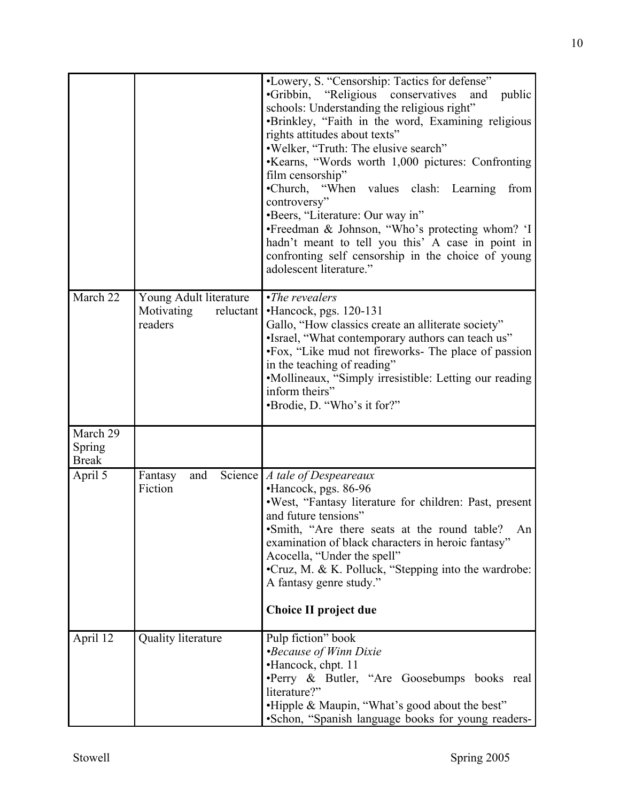| March 22                           | Young Adult literature<br>Motivating<br>reluctant<br>readers | •Lowery, S. "Censorship: Tactics for defense"<br>"Religious conservatives"<br>$\cdot$ Gribbin,<br>public<br>and<br>schools: Understanding the religious right"<br>•Brinkley, "Faith in the word, Examining religious<br>rights attitudes about texts"<br>.Welker, "Truth: The elusive search"<br>•Kearns, "Words worth 1,000 pictures: Confronting<br>film censorship"<br>•Church, "When values clash: Learning<br>from<br>controversy"<br>•Beers, "Literature: Our way in"<br>•Freedman & Johnson, "Who's protecting whom? 'I<br>hadn't meant to tell you this' A case in point in<br>confronting self censorship in the choice of young<br>adolescent literature."<br>$\cdot$ The revealers<br>$\cdot$ Hancock, pgs. 120-131<br>Gallo, "How classics create an alliterate society"<br>•Israel, "What contemporary authors can teach us"<br>•Fox, "Like mud not fireworks- The place of passion<br>in the teaching of reading"<br>•Mollineaux, "Simply irresistible: Letting our reading<br>inform theirs"<br>•Brodie, D. "Who's it for?" |
|------------------------------------|--------------------------------------------------------------|--------------------------------------------------------------------------------------------------------------------------------------------------------------------------------------------------------------------------------------------------------------------------------------------------------------------------------------------------------------------------------------------------------------------------------------------------------------------------------------------------------------------------------------------------------------------------------------------------------------------------------------------------------------------------------------------------------------------------------------------------------------------------------------------------------------------------------------------------------------------------------------------------------------------------------------------------------------------------------------------------------------------------------------------|
| March 29<br>Spring<br><b>Break</b> |                                                              |                                                                                                                                                                                                                                                                                                                                                                                                                                                                                                                                                                                                                                                                                                                                                                                                                                                                                                                                                                                                                                            |
| April 5                            | and<br>Fantasy<br>Fiction                                    | Science   A tale of Despeareaux<br>•Hancock, pgs. 86-96<br>·West, "Fantasy literature for children: Past, present<br>and future tensions"<br>• Smith, "Are there seats at the round table?<br>An<br>examination of black characters in heroic fantasy"<br>Acocella, "Under the spell"<br>•Cruz, M. & K. Polluck, "Stepping into the wardrobe:<br>A fantasy genre study."<br>Choice II project due                                                                                                                                                                                                                                                                                                                                                                                                                                                                                                                                                                                                                                          |
| April 12                           | <b>Quality literature</b>                                    | Pulp fiction" book<br><i>•Because of Winn Dixie</i><br>•Hancock, chpt. 11<br>·Perry & Butler, "Are Goosebumps books real<br>literature?"<br>.Hipple & Maupin, "What's good about the best"<br>•Schon, "Spanish language books for young readers-                                                                                                                                                                                                                                                                                                                                                                                                                                                                                                                                                                                                                                                                                                                                                                                           |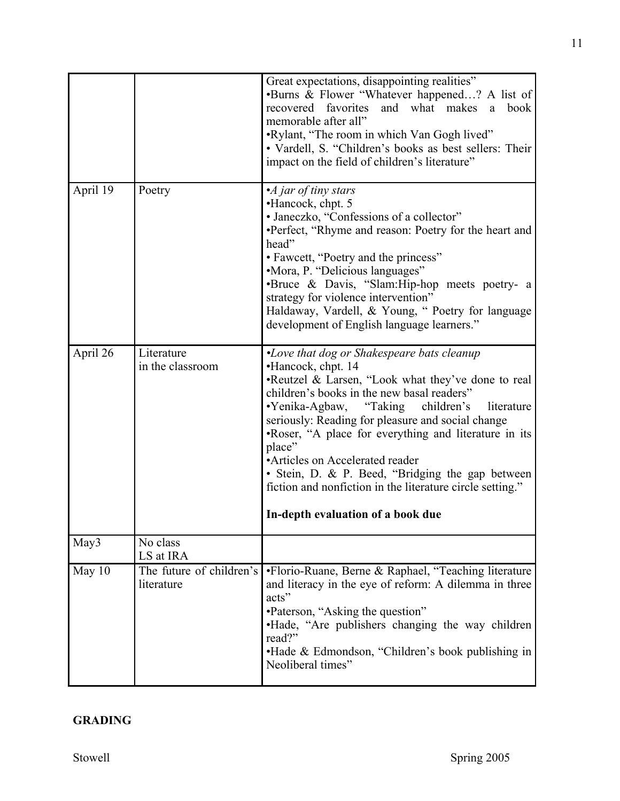|          |                                        | Great expectations, disappointing realities"<br>•Burns & Flower "Whatever happened? A list of<br>recovered favorites<br>and what makes<br>book<br>a<br>memorable after all"<br>.Rylant, "The room in which Van Gogh lived"<br>• Vardell, S. "Children's books as best sellers: Their<br>impact on the field of children's literature"                                                                                                                                                                                                     |  |  |
|----------|----------------------------------------|-------------------------------------------------------------------------------------------------------------------------------------------------------------------------------------------------------------------------------------------------------------------------------------------------------------------------------------------------------------------------------------------------------------------------------------------------------------------------------------------------------------------------------------------|--|--|
| April 19 | Poetry                                 | • $\overline{A}$ jar of tiny stars<br>•Hancock, chpt. 5<br>• Janeczko, "Confessions of a collector"<br>•Perfect, "Rhyme and reason: Poetry for the heart and<br>head"<br>• Fawcett, "Poetry and the princess"<br>•Mora, P. "Delicious languages"<br>·Bruce & Davis, "Slam:Hip-hop meets poetry- a<br>strategy for violence intervention"<br>Haldaway, Vardell, & Young, " Poetry for language<br>development of English language learners."                                                                                               |  |  |
| April 26 | Literature<br>in the classroom         | •Love that dog or Shakespeare bats cleanup<br>•Hancock, chpt. 14<br>•Reutzel & Larsen, "Look what they've done to real<br>children's books in the new basal readers"<br>•Yenika-Agbaw, "Taking children's<br>literature<br>seriously: Reading for pleasure and social change<br>.Roser, "A place for everything and literature in its<br>place"<br>• Articles on Accelerated reader<br>· Stein, D. & P. Beed, "Bridging the gap between<br>fiction and nonfiction in the literature circle setting."<br>In-depth evaluation of a book due |  |  |
| May3     | No class<br>LS at IRA                  |                                                                                                                                                                                                                                                                                                                                                                                                                                                                                                                                           |  |  |
| May $10$ | The future of children's<br>literature | •Florio-Ruane, Berne & Raphael, "Teaching literature<br>and literacy in the eye of reform: A dilemma in three<br>acts"<br>•Paterson, "Asking the question"<br>. Hade, "Are publishers changing the way children<br>read?"<br>.Hade & Edmondson, "Children's book publishing in<br>Neoliberal times"                                                                                                                                                                                                                                       |  |  |

# **GRADING**

11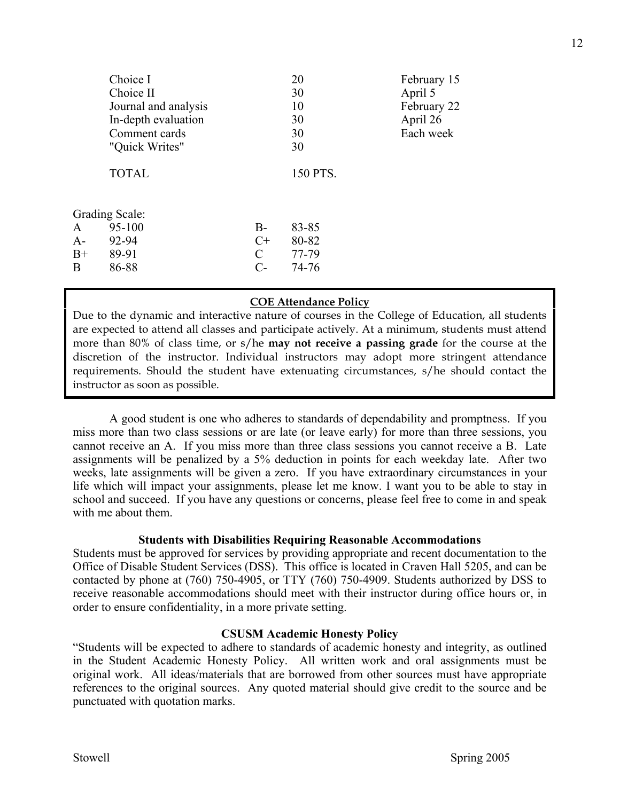|      | Choice I<br>Choice II<br>Journal and analysis |               | 20<br>30<br>10 | February 15<br>April 5<br>February 22 |
|------|-----------------------------------------------|---------------|----------------|---------------------------------------|
|      | In-depth evaluation                           |               | 30             | April 26                              |
|      | Comment cards                                 |               | 30             | Each week                             |
|      | "Quick Writes"                                |               | 30             |                                       |
|      | <b>TOTAL</b>                                  |               | 150 PTS.       |                                       |
|      | <b>Grading Scale:</b>                         |               |                |                                       |
| A    | 95-100                                        | $B-$          | 83-85          |                                       |
| A-   | 92-94                                         | $C+$          | 80-82          |                                       |
| $B+$ | 89-91                                         | $\mathcal{C}$ | 77-79          |                                       |
| B    | 86-88                                         | $C-$          | 74-76          |                                       |
|      |                                               |               |                |                                       |

# **COE Attendance Policy**

Due to the dynamic and interactive nature of courses in the College of Education, all students are expected to attend all classes and participate actively. At a minimum, students must attend more than 80% of class time, or s/he **may not receive a passing grade** for the course at the discretion of the instructor. Individual instructors may adopt more stringent attendance requirements. Should the student have extenuating circumstances, s/he should contact the instructor as soon as possible.

 A good student is one who adheres to standards of dependability and promptness. If you miss more than two class sessions or are late (or leave early) for more than three sessions, you cannot receive an A. If you miss more than three class sessions you cannot receive a B. Late assignments will be penalized by a 5% deduction in points for each weekday late. After two weeks, late assignments will be given a zero. If you have extraordinary circumstances in your life which will impact your assignments, please let me know. I want you to be able to stay in school and succeed. If you have any questions or concerns, please feel free to come in and speak with me about them.

#### **Students with Disabilities Requiring Reasonable Accommodations**

Students must be approved for services by providing appropriate and recent documentation to the Office of Disable Student Services (DSS). This office is located in Craven Hall 5205, and can be contacted by phone at (760) 750-4905, or TTY (760) 750-4909. Students authorized by DSS to receive reasonable accommodations should meet with their instructor during office hours or, in order to ensure confidentiality, in a more private setting.

#### **CSUSM Academic Honesty Policy**

"Students will be expected to adhere to standards of academic honesty and integrity, as outlined in the Student Academic Honesty Policy. All written work and oral assignments must be original work. All ideas/materials that are borrowed from other sources must have appropriate references to the original sources. Any quoted material should give credit to the source and be punctuated with quotation marks.